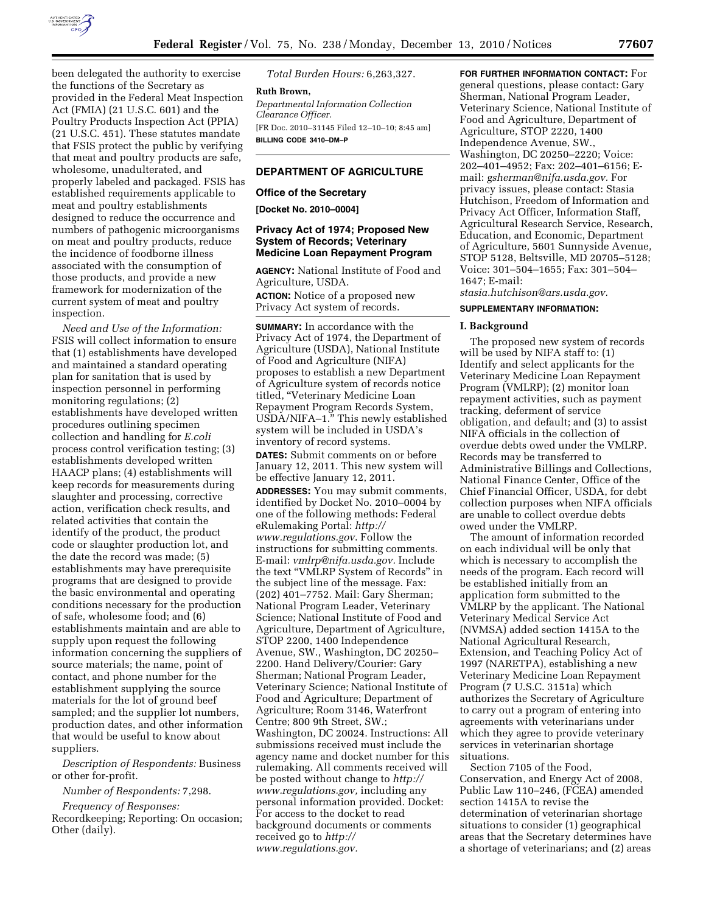

been delegated the authority to exercise the functions of the Secretary as provided in the Federal Meat Inspection Act (FMIA) (21 U.S.C. 601) and the Poultry Products Inspection Act (PPIA) (21 U.S.C. 451). These statutes mandate that FSIS protect the public by verifying that meat and poultry products are safe, wholesome, unadulterated, and properly labeled and packaged. FSIS has established requirements applicable to meat and poultry establishments designed to reduce the occurrence and numbers of pathogenic microorganisms on meat and poultry products, reduce the incidence of foodborne illness associated with the consumption of those products, and provide a new framework for modernization of the current system of meat and poultry inspection.

*Need and Use of the Information:*  FSIS will collect information to ensure that (1) establishments have developed and maintained a standard operating plan for sanitation that is used by inspection personnel in performing monitoring regulations; (2) establishments have developed written procedures outlining specimen collection and handling for *E.coli*  process control verification testing; (3) establishments developed written HAACP plans; (4) establishments will keep records for measurements during slaughter and processing, corrective action, verification check results, and related activities that contain the identify of the product, the product code or slaughter production lot, and the date the record was made; (5) establishments may have prerequisite programs that are designed to provide the basic environmental and operating conditions necessary for the production of safe, wholesome food; and (6) establishments maintain and are able to supply upon request the following information concerning the suppliers of source materials; the name, point of contact, and phone number for the establishment supplying the source materials for the lot of ground beef sampled; and the supplier lot numbers, production dates, and other information that would be useful to know about suppliers.

*Description of Respondents:* Business or other for-profit.

*Number of Respondents:* 7,298.

*Frequency of Responses:*  Recordkeeping; Reporting: On occasion; Other (daily).

*Total Burden Hours:* 6,263,327.

**Ruth Brown,**  *Departmental Information Collection Clearance Officer.*  [FR Doc. 2010–31145 Filed 12–10–10; 8:45 am] **BILLING CODE 3410–DM–P** 

# **DEPARTMENT OF AGRICULTURE**

### **Office of the Secretary**

**[Docket No. 2010–0004]** 

## **Privacy Act of 1974; Proposed New System of Records; Veterinary Medicine Loan Repayment Program**

**AGENCY:** National Institute of Food and Agriculture, USDA. **ACTION:** Notice of a proposed new Privacy Act system of records.

**SUMMARY:** In accordance with the Privacy Act of 1974, the Department of Agriculture (USDA), National Institute of Food and Agriculture (NIFA) proposes to establish a new Department of Agriculture system of records notice titled, ''Veterinary Medicine Loan Repayment Program Records System, USDA/NIFA–1.'' This newly established system will be included in USDA's inventory of record systems. **DATES:** Submit comments on or before January 12, 2011. This new system will be effective January 12, 2011.

**ADDRESSES:** You may submit comments, identified by Docket No. 2010–0004 by one of the following methods: Federal eRulemaking Portal: *[http://](http://www.regulations.gov) [www.regulations.gov](http://www.regulations.gov)*. Follow the instructions for submitting comments. E-mail: *[vmlrp@nifa.usda.gov.](mailto:vmlrp@nifa.usda.gov)* Include the text ''VMLRP System of Records'' in the subject line of the message. Fax: (202) 401–7752. Mail: Gary Sherman; National Program Leader, Veterinary Science; National Institute of Food and Agriculture, Department of Agriculture, STOP 2200, 1400 Independence Avenue, SW., Washington, DC 20250– 2200. Hand Delivery/Courier: Gary Sherman; National Program Leader, Veterinary Science; National Institute of Food and Agriculture; Department of Agriculture; Room 3146, Waterfront Centre; 800 9th Street, SW.; Washington, DC 20024. Instructions: All submissions received must include the agency name and docket number for this rulemaking. All comments received will be posted without change to *[http://](http://www.regulations.gov) [www.regulations.gov,](http://www.regulations.gov)* including any personal information provided. Docket: For access to the docket to read background documents or comments received go to *[http://](http://www.regulations.gov) [www.regulations.gov.](http://www.regulations.gov)* 

**FOR FURTHER INFORMATION CONTACT:** For general questions, please contact: Gary Sherman, National Program Leader, Veterinary Science, National Institute of Food and Agriculture, Department of Agriculture, STOP 2220, 1400 Independence Avenue, SW., Washington, DC 20250–2220; Voice: 202–401–4952; Fax: 202–401–6156; Email: *[gsherman@nifa.usda.gov.](mailto:gsherman@nifa.usda.gov)* For privacy issues, please contact: Stasia Hutchison, Freedom of Information and Privacy Act Officer, Information Staff, Agricultural Research Service, Research, Education, and Economic, Department of Agriculture, 5601 Sunnyside Avenue, STOP 5128, Beltsville, MD 20705–5128; Voice: 301–504–1655; Fax: 301–504– 1647; E-mail:

*[stasia.hutchison@ars.usda.gov.](mailto:stasia.hutchison@ars.usda.gov)* 

## **SUPPLEMENTARY INFORMATION:**

## **I. Background**

The proposed new system of records will be used by NIFA staff to: (1) Identify and select applicants for the Veterinary Medicine Loan Repayment Program (VMLRP); (2) monitor loan repayment activities, such as payment tracking, deferment of service obligation, and default; and (3) to assist NIFA officials in the collection of overdue debts owed under the VMLRP. Records may be transferred to Administrative Billings and Collections, National Finance Center, Office of the Chief Financial Officer, USDA, for debt collection purposes when NIFA officials are unable to collect overdue debts owed under the VMLRP.

The amount of information recorded on each individual will be only that which is necessary to accomplish the needs of the program. Each record will be established initially from an application form submitted to the VMLRP by the applicant. The National Veterinary Medical Service Act (NVMSA) added section 1415A to the National Agricultural Research, Extension, and Teaching Policy Act of 1997 (NARETPA), establishing a new Veterinary Medicine Loan Repayment Program (7 U.S.C. 3151a) which authorizes the Secretary of Agriculture to carry out a program of entering into agreements with veterinarians under which they agree to provide veterinary services in veterinarian shortage situations.

Section 7105 of the Food, Conservation, and Energy Act of 2008, Public Law 110–246, (FCEA) amended section 1415A to revise the determination of veterinarian shortage situations to consider (1) geographical areas that the Secretary determines have a shortage of veterinarians; and (2) areas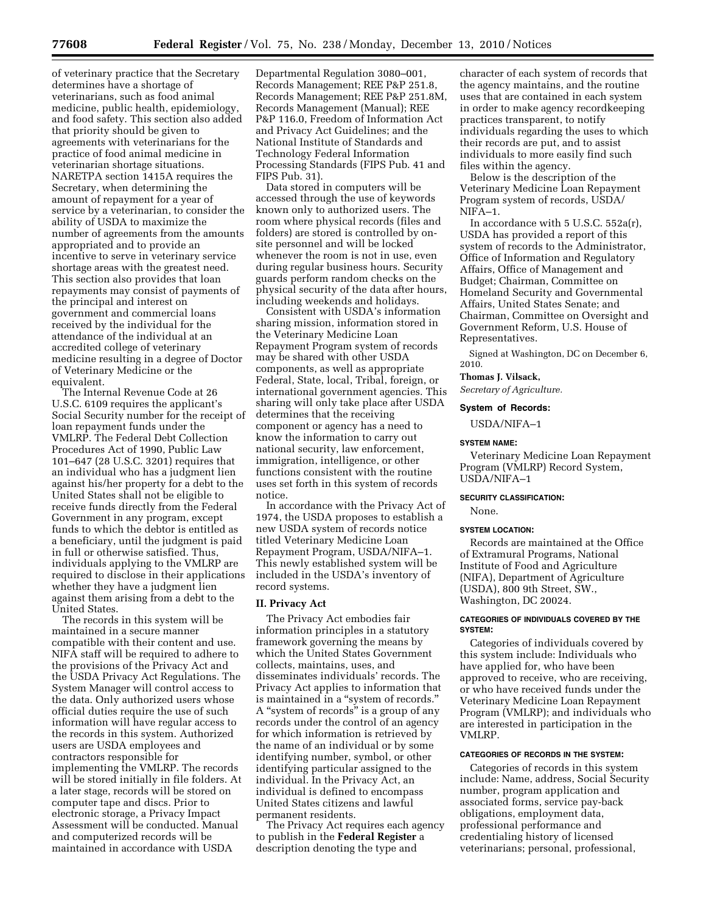of veterinary practice that the Secretary determines have a shortage of veterinarians, such as food animal medicine, public health, epidemiology, and food safety. This section also added that priority should be given to agreements with veterinarians for the practice of food animal medicine in veterinarian shortage situations. NARETPA section 1415A requires the Secretary, when determining the amount of repayment for a year of service by a veterinarian, to consider the ability of USDA to maximize the number of agreements from the amounts appropriated and to provide an incentive to serve in veterinary service shortage areas with the greatest need. This section also provides that loan repayments may consist of payments of the principal and interest on government and commercial loans received by the individual for the attendance of the individual at an accredited college of veterinary medicine resulting in a degree of Doctor of Veterinary Medicine or the equivalent.

The Internal Revenue Code at 26 U.S.C. 6109 requires the applicant's Social Security number for the receipt of loan repayment funds under the VMLRP. The Federal Debt Collection Procedures Act of 1990, Public Law 101–647 (28 U.S.C. 3201) requires that an individual who has a judgment lien against his/her property for a debt to the United States shall not be eligible to receive funds directly from the Federal Government in any program, except funds to which the debtor is entitled as a beneficiary, until the judgment is paid in full or otherwise satisfied. Thus, individuals applying to the VMLRP are required to disclose in their applications whether they have a judgment lien against them arising from a debt to the United States.

The records in this system will be maintained in a secure manner compatible with their content and use. NIFA staff will be required to adhere to the provisions of the Privacy Act and the USDA Privacy Act Regulations. The System Manager will control access to the data. Only authorized users whose official duties require the use of such information will have regular access to the records in this system. Authorized users are USDA employees and contractors responsible for implementing the VMLRP. The records will be stored initially in file folders. At a later stage, records will be stored on computer tape and discs. Prior to electronic storage, a Privacy Impact Assessment will be conducted. Manual and computerized records will be maintained in accordance with USDA

Departmental Regulation 3080–001, Records Management; REE P&P 251.8, Records Management; REE P&P 251.8M, Records Management (Manual); REE P&P 116.0, Freedom of Information Act and Privacy Act Guidelines; and the National Institute of Standards and Technology Federal Information Processing Standards (FIPS Pub. 41 and FIPS Pub. 31).

Data stored in computers will be accessed through the use of keywords known only to authorized users. The room where physical records (files and folders) are stored is controlled by onsite personnel and will be locked whenever the room is not in use, even during regular business hours. Security guards perform random checks on the physical security of the data after hours, including weekends and holidays.

Consistent with USDA's information sharing mission, information stored in the Veterinary Medicine Loan Repayment Program system of records may be shared with other USDA components, as well as appropriate Federal, State, local, Tribal, foreign, or international government agencies. This sharing will only take place after USDA determines that the receiving component or agency has a need to know the information to carry out national security, law enforcement, immigration, intelligence, or other functions consistent with the routine uses set forth in this system of records notice.

In accordance with the Privacy Act of 1974, the USDA proposes to establish a new USDA system of records notice titled Veterinary Medicine Loan Repayment Program, USDA/NIFA–1. This newly established system will be included in the USDA's inventory of record systems.

### **II. Privacy Act**

The Privacy Act embodies fair information principles in a statutory framework governing the means by which the United States Government collects, maintains, uses, and disseminates individuals' records. The Privacy Act applies to information that is maintained in a ''system of records.'' A ''system of records'' is a group of any records under the control of an agency for which information is retrieved by the name of an individual or by some identifying number, symbol, or other identifying particular assigned to the individual. In the Privacy Act, an individual is defined to encompass United States citizens and lawful permanent residents.

The Privacy Act requires each agency to publish in the **Federal Register** a description denoting the type and

character of each system of records that the agency maintains, and the routine uses that are contained in each system in order to make agency recordkeeping practices transparent, to notify individuals regarding the uses to which their records are put, and to assist individuals to more easily find such files within the agency.

Below is the description of the Veterinary Medicine Loan Repayment Program system of records, USDA/ NIFA–1.

In accordance with 5 U.S.C. 552a(r), USDA has provided a report of this system of records to the Administrator, Office of Information and Regulatory Affairs, Office of Management and Budget; Chairman, Committee on Homeland Security and Governmental Affairs, United States Senate; and Chairman, Committee on Oversight and Government Reform, U.S. House of Representatives.

Signed at Washington, DC on December 6, 2010.

### **Thomas J. Vilsack,**

*Secretary of Agriculture.* 

### **System of Records:**

USDA/NIFA–1

### **SYSTEM NAME:**

Veterinary Medicine Loan Repayment Program (VMLRP) Record System, USDA/NIFA–1

## **SECURITY CLASSIFICATION:**

None.

### **SYSTEM LOCATION:**

Records are maintained at the Office of Extramural Programs, National Institute of Food and Agriculture (NIFA), Department of Agriculture (USDA), 800 9th Street, SW., Washington, DC 20024.

## **CATEGORIES OF INDIVIDUALS COVERED BY THE SYSTEM:**

Categories of individuals covered by this system include: Individuals who have applied for, who have been approved to receive, who are receiving, or who have received funds under the Veterinary Medicine Loan Repayment Program (VMLRP); and individuals who are interested in participation in the VMLRP.

## **CATEGORIES OF RECORDS IN THE SYSTEM:**

Categories of records in this system include: Name, address, Social Security number, program application and associated forms, service pay-back obligations, employment data, professional performance and credentialing history of licensed veterinarians; personal, professional,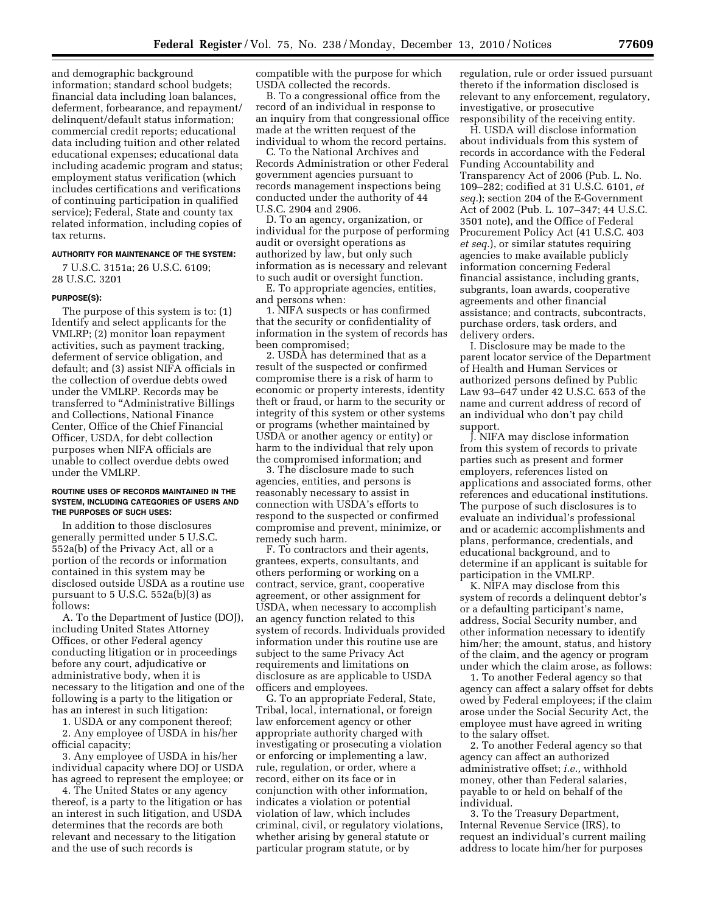and demographic background information; standard school budgets; financial data including loan balances, deferment, forbearance, and repayment/ delinquent/default status information; commercial credit reports; educational data including tuition and other related educational expenses; educational data including academic program and status; employment status verification (which includes certifications and verifications of continuing participation in qualified service); Federal, State and county tax related information, including copies of tax returns.

## **AUTHORITY FOR MAINTENANCE OF THE SYSTEM:**

7 U.S.C. 3151a; 26 U.S.C. 6109; 28 U.S.C. 3201

## **PURPOSE(S):**

The purpose of this system is to: (1) Identify and select applicants for the VMLRP; (2) monitor loan repayment activities, such as payment tracking, deferment of service obligation, and default; and (3) assist NIFA officials in the collection of overdue debts owed under the VMLRP. Records may be transferred to ''Administrative Billings and Collections, National Finance Center, Office of the Chief Financial Officer, USDA, for debt collection purposes when NIFA officials are unable to collect overdue debts owed under the VMLRP.

## **ROUTINE USES OF RECORDS MAINTAINED IN THE SYSTEM, INCLUDING CATEGORIES OF USERS AND THE PURPOSES OF SUCH USES:**

In addition to those disclosures generally permitted under 5 U.S.C. 552a(b) of the Privacy Act, all or a portion of the records or information contained in this system may be disclosed outside USDA as a routine use pursuant to  $5$  U.S.C.  $552a(b)(3)$  as follows:

A. To the Department of Justice (DOJ), including United States Attorney Offices, or other Federal agency conducting litigation or in proceedings before any court, adjudicative or administrative body, when it is necessary to the litigation and one of the following is a party to the litigation or has an interest in such litigation:

1. USDA or any component thereof;

2. Any employee of USDA in his/her official capacity;

3. Any employee of USDA in his/her individual capacity where DOJ or USDA has agreed to represent the employee; or

4. The United States or any agency thereof, is a party to the litigation or has an interest in such litigation, and USDA determines that the records are both relevant and necessary to the litigation and the use of such records is

compatible with the purpose for which USDA collected the records.

B. To a congressional office from the record of an individual in response to an inquiry from that congressional office made at the written request of the individual to whom the record pertains.

C. To the National Archives and Records Administration or other Federal government agencies pursuant to records management inspections being conducted under the authority of 44 U.S.C. 2904 and 2906.

D. To an agency, organization, or individual for the purpose of performing audit or oversight operations as authorized by law, but only such information as is necessary and relevant to such audit or oversight function.

E. To appropriate agencies, entities, and persons when:

1. NIFA suspects or has confirmed that the security or confidentiality of information in the system of records has been compromised;

2. USDA has determined that as a result of the suspected or confirmed compromise there is a risk of harm to economic or property interests, identity theft or fraud, or harm to the security or integrity of this system or other systems or programs (whether maintained by USDA or another agency or entity) or harm to the individual that rely upon the compromised information; and

3. The disclosure made to such agencies, entities, and persons is reasonably necessary to assist in connection with USDA's efforts to respond to the suspected or confirmed compromise and prevent, minimize, or remedy such harm.

F. To contractors and their agents, grantees, experts, consultants, and others performing or working on a contract, service, grant, cooperative agreement, or other assignment for USDA, when necessary to accomplish an agency function related to this system of records. Individuals provided information under this routine use are subject to the same Privacy Act requirements and limitations on disclosure as are applicable to USDA officers and employees.

G. To an appropriate Federal, State, Tribal, local, international, or foreign law enforcement agency or other appropriate authority charged with investigating or prosecuting a violation or enforcing or implementing a law, rule, regulation, or order, where a record, either on its face or in conjunction with other information, indicates a violation or potential violation of law, which includes criminal, civil, or regulatory violations, whether arising by general statute or particular program statute, or by

regulation, rule or order issued pursuant thereto if the information disclosed is relevant to any enforcement, regulatory, investigative, or prosecutive responsibility of the receiving entity.

H. USDA will disclose information about individuals from this system of records in accordance with the Federal Funding Accountability and Transparency Act of 2006 (Pub. L. No. 109–282; codified at 31 U.S.C. 6101, *et seq.*); section 204 of the E-Government Act of 2002 (Pub. L. 107–347; 44 U.S.C. 3501 note), and the Office of Federal Procurement Policy Act (41 U.S.C. 403 *et seq.*), or similar statutes requiring agencies to make available publicly information concerning Federal financial assistance, including grants, subgrants, loan awards, cooperative agreements and other financial assistance; and contracts, subcontracts, purchase orders, task orders, and delivery orders.

I. Disclosure may be made to the parent locator service of the Department of Health and Human Services or authorized persons defined by Public Law 93–647 under 42 U.S.C. 653 of the name and current address of record of an individual who don't pay child support.

J. NIFA may disclose information from this system of records to private parties such as present and former employers, references listed on applications and associated forms, other references and educational institutions. The purpose of such disclosures is to evaluate an individual's professional and or academic accomplishments and plans, performance, credentials, and educational background, and to determine if an applicant is suitable for participation in the VMLRP.

K. NIFA may disclose from this system of records a delinquent debtor's or a defaulting participant's name, address, Social Security number, and other information necessary to identify him/her; the amount, status, and history of the claim, and the agency or program under which the claim arose, as follows:

1. To another Federal agency so that agency can affect a salary offset for debts owed by Federal employees; if the claim arose under the Social Security Act, the employee must have agreed in writing to the salary offset.

2. To another Federal agency so that agency can affect an authorized administrative offset; *i.e.,* withhold money, other than Federal salaries, payable to or held on behalf of the individual.

3. To the Treasury Department, Internal Revenue Service (IRS), to request an individual's current mailing address to locate him/her for purposes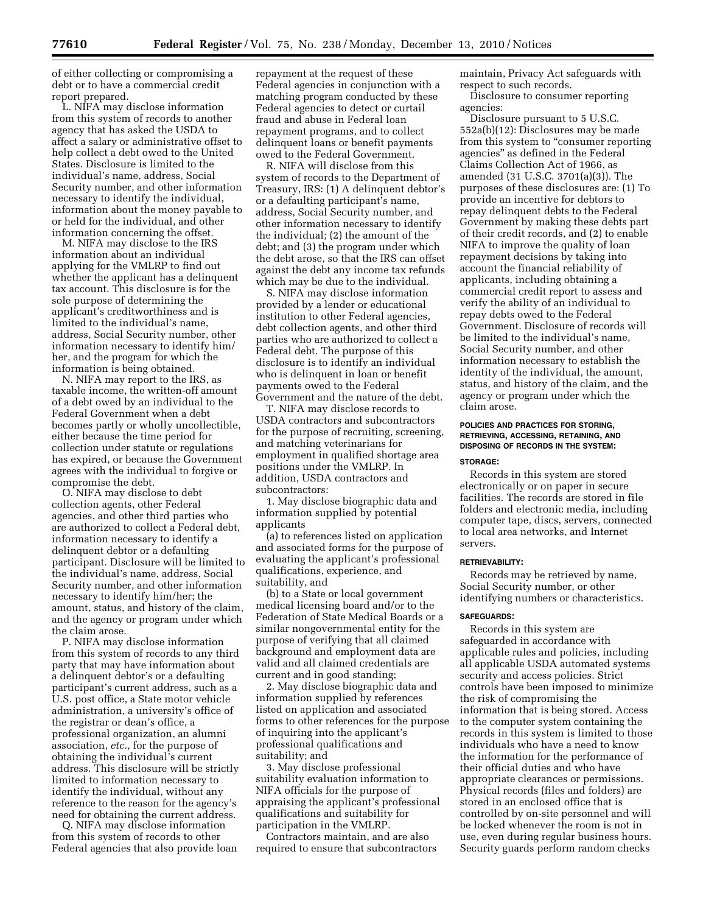of either collecting or compromising a debt or to have a commercial credit report prepared.

L. NIFA may disclose information from this system of records to another agency that has asked the USDA to affect a salary or administrative offset to help collect a debt owed to the United States. Disclosure is limited to the individual's name, address, Social Security number, and other information necessary to identify the individual, information about the money payable to or held for the individual, and other information concerning the offset.

M. NIFA may disclose to the IRS information about an individual applying for the VMLRP to find out whether the applicant has a delinquent tax account. This disclosure is for the sole purpose of determining the applicant's creditworthiness and is limited to the individual's name, address, Social Security number, other information necessary to identify him/ her, and the program for which the information is being obtained.

N. NIFA may report to the IRS, as taxable income, the written-off amount of a debt owed by an individual to the Federal Government when a debt becomes partly or wholly uncollectible, either because the time period for collection under statute or regulations has expired, or because the Government agrees with the individual to forgive or compromise the debt.

O. NIFA may disclose to debt collection agents, other Federal agencies, and other third parties who are authorized to collect a Federal debt, information necessary to identify a delinquent debtor or a defaulting participant. Disclosure will be limited to the individual's name, address, Social Security number, and other information necessary to identify him/her; the amount, status, and history of the claim, and the agency or program under which the claim arose.

P. NIFA may disclose information from this system of records to any third party that may have information about a delinquent debtor's or a defaulting participant's current address, such as a U.S. post office, a State motor vehicle administration, a university's office of the registrar or dean's office, a professional organization, an alumni association, *etc.,* for the purpose of obtaining the individual's current address. This disclosure will be strictly limited to information necessary to identify the individual, without any reference to the reason for the agency's need for obtaining the current address.

Q. NIFA may disclose information from this system of records to other Federal agencies that also provide loan repayment at the request of these Federal agencies in conjunction with a matching program conducted by these Federal agencies to detect or curtail fraud and abuse in Federal loan repayment programs, and to collect delinquent loans or benefit payments owed to the Federal Government.

R. NIFA will disclose from this system of records to the Department of Treasury, IRS: (1) A delinquent debtor's or a defaulting participant's name, address, Social Security number, and other information necessary to identify the individual; (2) the amount of the debt; and (3) the program under which the debt arose, so that the IRS can offset against the debt any income tax refunds which may be due to the individual.

S. NIFA may disclose information provided by a lender or educational institution to other Federal agencies, debt collection agents, and other third parties who are authorized to collect a Federal debt. The purpose of this disclosure is to identify an individual who is delinquent in loan or benefit payments owed to the Federal Government and the nature of the debt.

T. NIFA may disclose records to USDA contractors and subcontractors for the purpose of recruiting, screening, and matching veterinarians for employment in qualified shortage area positions under the VMLRP. In addition, USDA contractors and subcontractors:

1. May disclose biographic data and information supplied by potential applicants

(a) to references listed on application and associated forms for the purpose of evaluating the applicant's professional qualifications, experience, and suitability, and

(b) to a State or local government medical licensing board and/or to the Federation of State Medical Boards or a similar nongovernmental entity for the purpose of verifying that all claimed background and employment data are valid and all claimed credentials are current and in good standing;

2. May disclose biographic data and information supplied by references listed on application and associated forms to other references for the purpose of inquiring into the applicant's professional qualifications and suitability; and

3. May disclose professional suitability evaluation information to NIFA officials for the purpose of appraising the applicant's professional qualifications and suitability for participation in the VMLRP.

Contractors maintain, and are also required to ensure that subcontractors maintain, Privacy Act safeguards with respect to such records.

Disclosure to consumer reporting agencies:

Disclosure pursuant to 5 U.S.C. 552a(b)(12): Disclosures may be made from this system to "consumer reporting" agencies'' as defined in the Federal Claims Collection Act of 1966, as amended (31 U.S.C. 3701(a)(3)). The purposes of these disclosures are: (1) To provide an incentive for debtors to repay delinquent debts to the Federal Government by making these debts part of their credit records, and (2) to enable NIFA to improve the quality of loan repayment decisions by taking into account the financial reliability of applicants, including obtaining a commercial credit report to assess and verify the ability of an individual to repay debts owed to the Federal Government. Disclosure of records will be limited to the individual's name, Social Security number, and other information necessary to establish the identity of the individual, the amount, status, and history of the claim, and the agency or program under which the claim arose.

# **POLICIES AND PRACTICES FOR STORING, RETRIEVING, ACCESSING, RETAINING, AND DISPOSING OF RECORDS IN THE SYSTEM:**

**STORAGE:** 

Records in this system are stored electronically or on paper in secure facilities. The records are stored in file folders and electronic media, including computer tape, discs, servers, connected to local area networks, and Internet servers.

## **RETRIEVABILITY:**

Records may be retrieved by name, Social Security number, or other identifying numbers or characteristics.

### **SAFEGUARDS:**

Records in this system are safeguarded in accordance with applicable rules and policies, including all applicable USDA automated systems security and access policies. Strict controls have been imposed to minimize the risk of compromising the information that is being stored. Access to the computer system containing the records in this system is limited to those individuals who have a need to know the information for the performance of their official duties and who have appropriate clearances or permissions. Physical records (files and folders) are stored in an enclosed office that is controlled by on-site personnel and will be locked whenever the room is not in use, even during regular business hours. Security guards perform random checks